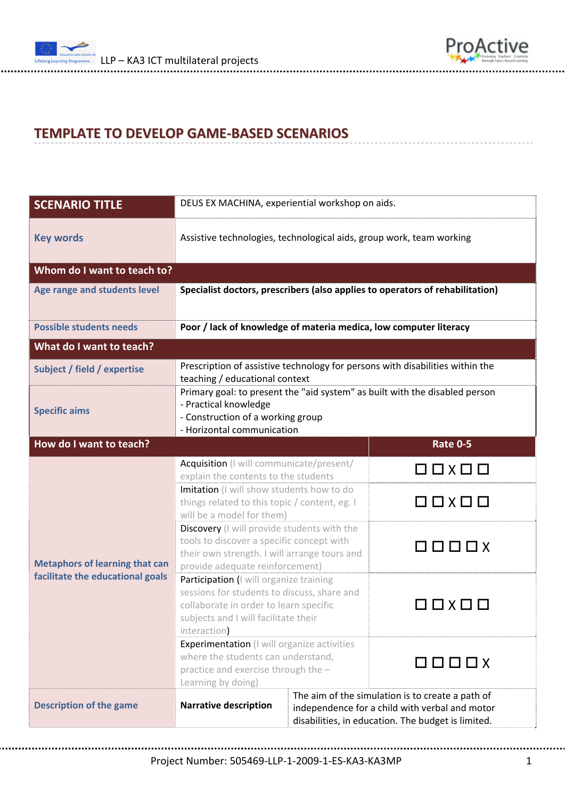



## **TEMPLATE TO DEVELOP GAME‐BASED SCENARIOS**

| <b>SCENARIO TITLE</b>                                                     | DEUS EX MACHINA, experiential workshop on aids.                                                                                                                                          |                                                                                                                                                          |                         |  |
|---------------------------------------------------------------------------|------------------------------------------------------------------------------------------------------------------------------------------------------------------------------------------|----------------------------------------------------------------------------------------------------------------------------------------------------------|-------------------------|--|
| <b>Key words</b>                                                          | Assistive technologies, technological aids, group work, team working                                                                                                                     |                                                                                                                                                          |                         |  |
| Whom do I want to teach to?                                               |                                                                                                                                                                                          |                                                                                                                                                          |                         |  |
| Age range and students level                                              | Specialist doctors, prescribers (also applies to operators of rehabilitation)                                                                                                            |                                                                                                                                                          |                         |  |
| <b>Possible students needs</b>                                            | Poor / lack of knowledge of materia medica, low computer literacy                                                                                                                        |                                                                                                                                                          |                         |  |
| What do I want to teach?                                                  |                                                                                                                                                                                          |                                                                                                                                                          |                         |  |
| Subject / field / expertise                                               | Prescription of assistive technology for persons with disabilities within the<br>teaching / educational context                                                                          |                                                                                                                                                          |                         |  |
| <b>Specific aims</b>                                                      | Primary goal: to present the "aid system" as built with the disabled person<br>- Practical knowledge<br>- Construction of a working group<br>- Horizontal communication                  |                                                                                                                                                          |                         |  |
| How do I want to teach?<br><b>Rate 0-5</b>                                |                                                                                                                                                                                          |                                                                                                                                                          |                         |  |
| <b>Metaphors of learning that can</b><br>facilitate the educational goals | Acquisition (I will communicate/present/<br>explain the contents to the students<br>Imitation (I will show students how to do                                                            |                                                                                                                                                          | $\Box$ $\Box$           |  |
|                                                                           | things related to this topic / content, eg. I<br>will be a model for them)                                                                                                               |                                                                                                                                                          | $\Box$ $\Box$           |  |
|                                                                           | Discovery (I will provide students with the<br>tools to discover a specific concept with<br>their own strength. I will arrange tours and<br>provide adequate reinforcement)              |                                                                                                                                                          | 8 8 8 8 4               |  |
|                                                                           | Participation (I will organize training<br>sessions for students to discuss, share and<br>collaborate in order to learn specific<br>subjects and I will facilitate their<br>interaction) |                                                                                                                                                          | $\Box \times \Box \Box$ |  |
|                                                                           | <b>Experimentation</b> (I will organize activities<br>where the students can understand,<br>practice and exercise through the -<br>Learning by doing)                                    |                                                                                                                                                          | 0000x                   |  |
| <b>Description of the game</b>                                            | <b>Narrative description</b>                                                                                                                                                             | The aim of the simulation is to create a path of<br>independence for a child with verbal and motor<br>disabilities, in education. The budget is limited. |                         |  |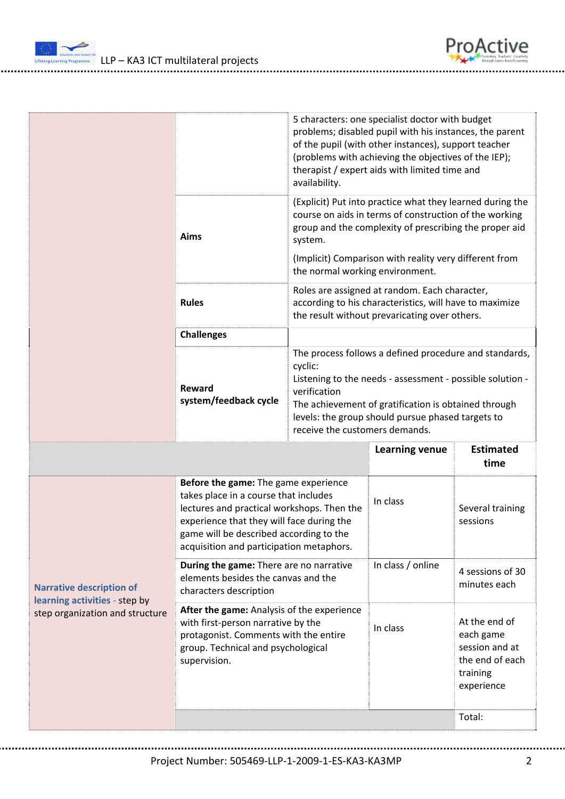

 $\frac{L_{\text{inter}}}{L_{\text{inter}}}$  LLP – KA3 ICT multilateral projects

|                                                                                                     |                                                                                                                                                                                                                                                                 | 5 characters: one specialist doctor with budget<br>problems; disabled pupil with his instances, the parent<br>of the pupil (with other instances), support teacher<br>(problems with achieving the objectives of the IEP);<br>therapist / expert aids with limited time and<br>availability.  |                                                                                                                                                                               |                                                                                           |  |
|-----------------------------------------------------------------------------------------------------|-----------------------------------------------------------------------------------------------------------------------------------------------------------------------------------------------------------------------------------------------------------------|-----------------------------------------------------------------------------------------------------------------------------------------------------------------------------------------------------------------------------------------------------------------------------------------------|-------------------------------------------------------------------------------------------------------------------------------------------------------------------------------|-------------------------------------------------------------------------------------------|--|
|                                                                                                     | Aims                                                                                                                                                                                                                                                            | system.                                                                                                                                                                                                                                                                                       | (Explicit) Put into practice what they learned during the<br>course on aids in terms of construction of the working<br>group and the complexity of prescribing the proper aid |                                                                                           |  |
|                                                                                                     |                                                                                                                                                                                                                                                                 | (Implicit) Comparison with reality very different from<br>the normal working environment.                                                                                                                                                                                                     |                                                                                                                                                                               |                                                                                           |  |
|                                                                                                     | <b>Rules</b>                                                                                                                                                                                                                                                    | Roles are assigned at random. Each character,<br>according to his characteristics, will have to maximize<br>the result without prevaricating over others.                                                                                                                                     |                                                                                                                                                                               |                                                                                           |  |
|                                                                                                     | <b>Challenges</b>                                                                                                                                                                                                                                               |                                                                                                                                                                                                                                                                                               |                                                                                                                                                                               |                                                                                           |  |
|                                                                                                     | Reward<br>system/feedback cycle                                                                                                                                                                                                                                 | The process follows a defined procedure and standards,<br>cyclic:<br>Listening to the needs - assessment - possible solution -<br>verification<br>The achievement of gratification is obtained through<br>levels: the group should pursue phased targets to<br>receive the customers demands. |                                                                                                                                                                               |                                                                                           |  |
|                                                                                                     |                                                                                                                                                                                                                                                                 |                                                                                                                                                                                                                                                                                               | <b>Learning venue</b>                                                                                                                                                         | <b>Estimated</b><br>time                                                                  |  |
| <b>Narrative description of</b><br>learning activities - step by<br>step organization and structure | Before the game: The game experience<br>takes place in a course that includes<br>lectures and practical workshops. Then the<br>experience that they will face during the<br>game will be described according to the<br>acquisition and participation metaphors. |                                                                                                                                                                                                                                                                                               | In class                                                                                                                                                                      | Several training<br>sessions                                                              |  |
|                                                                                                     | During the game: There are no narrative<br>elements besides the canvas and the<br>characters description                                                                                                                                                        |                                                                                                                                                                                                                                                                                               | In class / online                                                                                                                                                             | 4 sessions of 30<br>minutes each                                                          |  |
|                                                                                                     | After the game: Analysis of the experience<br>with first-person narrative by the<br>protagonist. Comments with the entire<br>group. Technical and psychological<br>supervision.                                                                                 |                                                                                                                                                                                                                                                                                               | In class                                                                                                                                                                      | At the end of<br>each game<br>session and at<br>the end of each<br>training<br>experience |  |
|                                                                                                     |                                                                                                                                                                                                                                                                 |                                                                                                                                                                                                                                                                                               |                                                                                                                                                                               |                                                                                           |  |